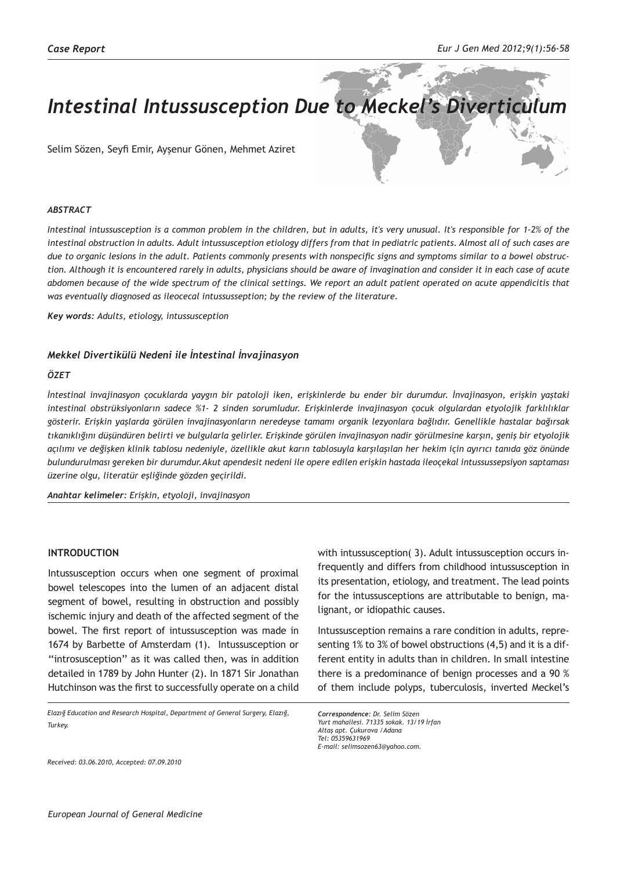# *Intestinal Intussusception Due to Meckel's Diverticulum*

Selim Sözen, Seyfi Emir, Ayşenur Gönen, Mehmet Aziret

#### *ABSTRACT*

*Intestinal intussusception is a common problem in the children, but in adults, it's very unusual. It's responsible for 1-2% of the intestinal obstruction in adults. Adult intussusception etiology differs from that in pediatric patients. Almost all of such cases are due to organic lesions in the adult. Patients commonly presents with nonspecific signs and symptoms similar to a bowel obstruction. Although it is encountered rarely in adults, physicians should be aware of invagination and consider it in each case of acute abdomen because of the wide spectrum of the clinical settings. We report an adult patient operated on acute appendicitis that was eventually diagnosed as ileocecal intussusseption; by the review of the literature.*

*Key words: Adults, etiology, intussusception*

#### *Mekkel Divertikülü Nedeni ile İntestinal İnvajinasyon*

#### *ÖZET*

*İntestinal invajinasyon çocuklarda yaygın bir patoloji iken, erişkinlerde bu ender bir durumdur. İnvajinasyon, erişkin yaştaki intestinal obstrüksiyonların sadece %1- 2 sinden sorumludur. Erişkinlerde invajinasyon çocuk olgulardan etyolojik farklılıklar gösterir. Erişkin yaşlarda görülen invajinasyonların neredeyse tamamı organik lezyonlara bağlıdır. Genellikle hastalar bağırsak tıkanıklığını düşündüren belirti ve bulgularla gelirler. Erişkinde görülen invajinasyon nadir görülmesine karşın, geniş bir etyolojik açılımı ve değişken klinik tablosu nedeniyle, özellikle akut karın tablosuyla karşılaşılan her hekim için ayırıcı tanıda göz önünde bulundurulması gereken bir durumdur.Akut apendesit nedeni ile opere edilen erişkin hastada ileoçekal intussussepsiyon saptaması üzerine olgu, literatür eşliğinde gözden geçirildi.*

*Anahtar kelimeler: Erişkin, etyoloji, invajinasyon*

#### **INTRODUCTION**

Intussusception occurs when one segment of proximal bowel telescopes into the lumen of an adjacent distal segment of bowel, resulting in obstruction and possibly ischemic injury and death of the affected segment of the bowel. The first report of intussusception was made in 1674 by Barbette of Amsterdam (1). Intussusception or ''introsusception'' as it was called then, was in addition detailed in 1789 by John Hunter (2). In 1871 Sir Jonathan Hutchinson was the first to successfully operate on a child

*Elazığ Education and Research Hospital, Department of General Surgery, Elazığ, Turkey.*

with intussusception( 3). Adult intussusception occurs infrequently and differs from childhood intussusception in its presentation, etiology, and treatment. The lead points for the intussusceptions are attributable to benign, malignant, or idiopathic causes.

Intussusception remains a rare condition in adults, representing 1% to 3% of bowel obstructions (4,5) and it is a different entity in adults than in children. In small intestine there is a predominance of benign processes and a 90 % of them include polyps, tuberculosis, inverted Meckel's

*Correspondence: Dr. Selim Sözen Yurt mahallesi. 71335 sokak. 13/19 İrfan Altaş apt. Çukurova /Adana Tel: 05359631969 E-mail: selimsozen63@yahoo.com.*

*Received: 03.06.2010, Accepted: 07.09.2010*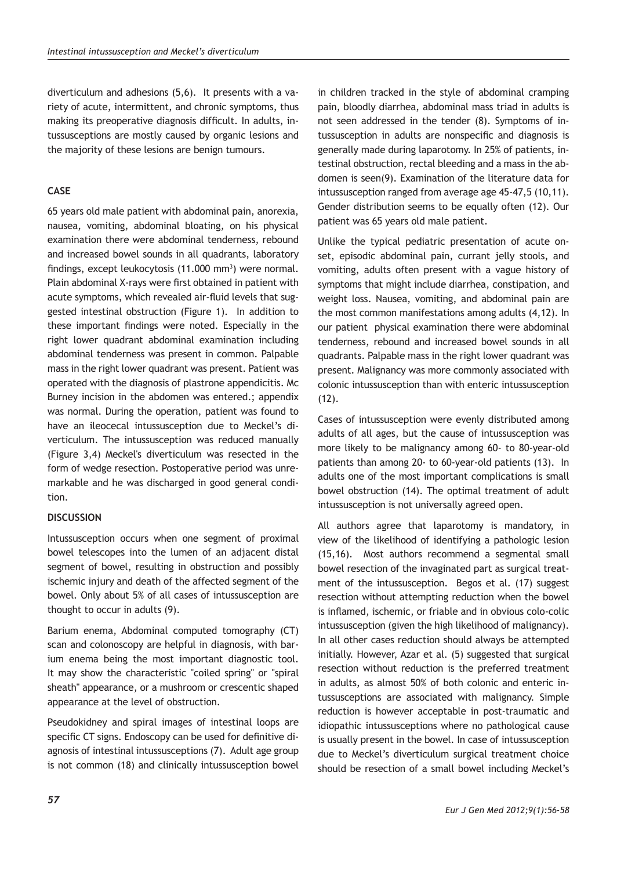diverticulum and adhesions (5,6). It presents with a variety of acute, intermittent, and chronic symptoms, thus making its preoperative diagnosis difficult. In adults, intussusceptions are mostly caused by organic lesions and the majority of these lesions are benign tumours.

## **CASE**

65 years old male patient with abdominal pain, anorexia, nausea, vomiting, abdominal bloating, on his physical examination there were abdominal tenderness, rebound and increased bowel sounds in all quadrants, laboratory findings, except leukocytosis (11.000 mm<sup>3</sup>) were normal. Plain abdominal X-rays were first obtained in patient with acute symptoms, which revealed air-fluid levels that suggested intestinal obstruction (Figure 1). In addition to these important findings were noted. Especially in the right lower quadrant abdominal examination including abdominal tenderness was present in common. Palpable mass in the right lower quadrant was present. Patient was operated with the diagnosis of plastrone appendicitis. Mc Burney incision in the abdomen was entered.; appendix was normal. During the operation, patient was found to have an ileocecal intussusception due to Meckel's diverticulum. The intussusception was reduced manually (Figure 3,4) Meckel's diverticulum was resected in the form of wedge resection. Postoperative period was unremarkable and he was discharged in good general condition.

### **DISCUSSION**

Intussusception occurs when one segment of proximal bowel telescopes into the lumen of an adjacent distal segment of bowel, resulting in obstruction and possibly ischemic injury and death of the affected segment of the bowel. Only about 5% of all cases of intussusception are thought to occur in adults (9).

Barium enema, Abdominal computed tomography (CT) scan and colonoscopy are helpful in diagnosis, with barium enema being the most important diagnostic tool. It may show the characteristic "coiled spring" or "spiral sheath" appearance, or a mushroom or crescentic shaped appearance at the level of obstruction.

Pseudokidney and spiral images of intestinal loops are specific CT signs. Endoscopy can be used for definitive diagnosis of intestinal intussusceptions (7). Adult age group is not common (18) and clinically intussusception bowel in children tracked in the style of abdominal cramping pain, bloodly diarrhea, abdominal mass triad in adults is not seen addressed in the tender (8). Symptoms of intussusception in adults are nonspecific and diagnosis is generally made during laparotomy. In 25% of patients, intestinal obstruction, rectal bleeding and a mass in the abdomen is seen(9). Examination of the literature data for intussusception ranged from average age 45-47,5 (10,11). Gender distribution seems to be equally often (12). Our patient was 65 years old male patient.

Unlike the typical pediatric presentation of acute onset, episodic abdominal pain, currant jelly stools, and vomiting, adults often present with a vague history of symptoms that might include diarrhea, constipation, and weight loss. Nausea, vomiting, and abdominal pain are the most common manifestations among adults (4,12). In our patient physical examination there were abdominal tenderness, rebound and increased bowel sounds in all quadrants. Palpable mass in the right lower quadrant was present. Malignancy was more commonly associated with colonic intussusception than with enteric intussusception (12).

Cases of intussusception were evenly distributed among adults of all ages, but the cause of intussusception was more likely to be malignancy among 60- to 80-year-old patients than among 20- to 60-year-old patients (13). In adults one of the most important complications is small bowel obstruction (14). The optimal treatment of adult intussusception is not universally agreed open.

All authors agree that laparotomy is mandatory, in view of the likelihood of identifying a pathologic lesion (15,16). Most authors recommend a segmental small bowel resection of the invaginated part as surgical treatment of the intussusception. Begos et al. (17) suggest resection without attempting reduction when the bowel is inflamed, ischemic, or friable and in obvious colo-colic intussusception (given the high likelihood of malignancy). In all other cases reduction should always be attempted initially. However, Azar et al. (5) suggested that surgical resection without reduction is the preferred treatment in adults, as almost 50% of both colonic and enteric intussusceptions are associated with malignancy. Simple reduction is however acceptable in post-traumatic and idiopathic intussusceptions where no pathological cause is usually present in the bowel. In case of intussusception due to Meckel's diverticulum surgical treatment choice should be resection of a small bowel including Meckel's